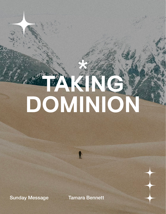# **SANGE**

 $\mathbf{f}$ 

Sunday Message **Tamara Bennett**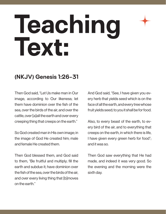# Teaching<br>Text:

# **(NKJV) Genesis 1:26-31**

Then God said, "Let Us make man in Our image, according to Our likeness; let them have dominion over the fish of the sea, over the birds of the air, and over the cattle, over [a]all the earth and over every creeping thing that creeps on the earth."

So God created man in His own image; in the image of God He created him; male and female He created them.

Then God blessed them, and God said to them, "Be fruitful and multiply; fill the earth and subdue it; have dominion over the fish of the sea, over the birds of the air, and over every living thing that [b]moves on the earth."

And God said, "See, I have given you every herb that yields seed which is on the face of all the earth, and every tree whose fruit yields seed; to you it shall be for food.

Also, to every beast of the earth, to every bird of the air, and to everything that creeps on the earth, in which there is life, I have given every green herb for food"; and it was so.

Then God saw everything that He had made, and indeed it was very good. So the evening and the morning were the sixth day.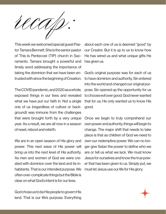

This week we welcomed special guest Pastor Tamara Bennett. She is the senior pastor of This Is Pentecost (TIP) church in Sacramento. Tamara brought a powerful and timely word addressing the importance of taking the dominion that we have been entrusted with since the beginning of Creation.

The COVID pandemic, and 2020 as a whole, exposed things in our lives and revealed what we have put our faith in. Not a single one of us (regardless of culture or background) was immune from the challenges that were brought forth by a very unique year. As a result, we are all now in a season of reset, reboot and rebirth.

We are in an open season of His glory and power. This next wave of His power will bring us into the next level of His authority. As men and women of God we were created with dominion over the land and its inhabitants. That is our intended purpose. We often over-complicate things but the Bible is clear on what God's intent is for our lives.

God chose us to be His people to govern His land. That is our life's purpose. Everything

about each one of us is deemed "good" by our Creator. But it is up to us to know how He has wired us and what unique gifts He has given us.

God's original purpose was for each of us to have dominion and authority. Sin entered into the world and changed our original purpose. Sin opened up the opportunity for us to choose evil over good. God never wanted that for us; He only wanted us to know His good.

Once we begin to truly comprehend our own power and authority, things will begin to change. The major shift that needs to take place is that as children of God we need to own our redemptive power. We can no longer give Satan the power to define who we are or tell us what we lack. We must know Jesus for ourselves and know the true power that has been given to us. Simply put, we must let Jesus use our life for His glory.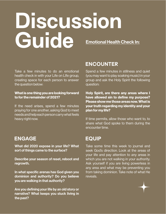# **Discussion Guide** Emotional Health Check In:

Take a few minutes to do an emotional health check in with your Life on LIfe group, creating space for each person to answer the question below:

### What is one thing you are looking forward to for the remainder of 2021?

If the need arises, spend a few minutes praying for one another, asking God to meet needs and help each person carry what feels heavy right now.

## **ENGAGE**

What did 2020 expose in your life? What sort of things came to the surface?

Describe your season of reset, reboot and regrowth.

In what specific arenas has God given you dominion and authority? Do you believe you are walking in that authority?

Are you defining your life by an old story or narrative? What keeps you stuck living in the past?

# **ENCOUNTER**

Spend a few minutes in stillness and quiet (you may want to play soaking music) in your group and ask the Holy Spirit the following question:

Holy Spirit, are there any areas where I have allowed sin to define my purpose? Please show me those areas now. What is your truth regarding my identity and your plan for my life?

If time permits, allow those who want to, to share what God spoke to them during the encounter time.

## **EQUIP**

Take some time this week to journal and seek God's direction. Look at the areas of your life and pay attention to any areas in which you are not walking in your authority. Ask yourself if you are living powerless in any area and what may be preventing you from taking dominion. Take note of what He reveals.